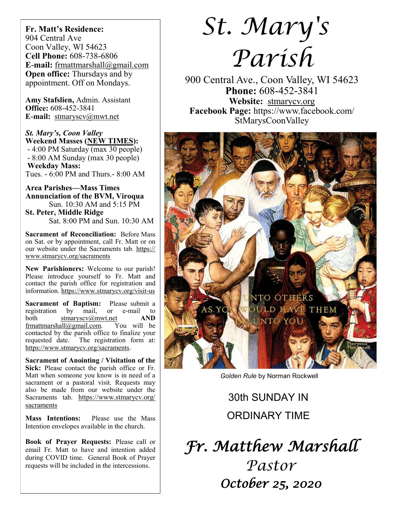**Fr. Matt's Residence:**  904 Central Ave Coon Valley, WI 54623 **Cell Phone:** 608-738-6806 **E-mail:** [frmattmarshall@gmail.com](mailto:frmattmarshall@gmail.com) **Open office:** Thursdays and by appointment. Off on Mondays.

**Amy Stafslien,** Admin. Assistant **Office:** 608-452-3841 **E-mail:** [stmaryscv@mwt.net](mailto:stmaryscv@mwt.net)

*St. Mary's, Coon Valley*  **Weekend Masses (NEW TIMES):** - 4:00 PM Saturday (max 30 people) - 8:00 AM Sunday (max 30 people) **Weekday Mass:**  Tues. - 6:00 PM and Thurs.- 8:00 AM

**Area Parishes—Mass Times Annunciation of the BVM, Viroqua** Sun. 10:30 AM and 5:15 PM **St. Peter, Middle Ridge** Sat. 8:00 PM and Sun. 10:30 AM

**Sacrament of Reconciliation:** Before Mass on Sat. or by appointment, call Fr. Matt or on our website under the Sacraments tab. [https://](https://www.stmarycv.org/sacraments) [www.stmarycv.org/sacraments](https://www.stmarycv.org/sacraments)

**New Parishioners:** Welcome to our parish! Please introduce yourself to Fr. Matt and contact the parish office for registration and information. <https://www.stmarycv.org/visit-us>

**Sacrament of Baptism:** Please submit a registration by mail, or e-mail to registration by mail, or e-mail to both [stmaryscv@mwt.net](mailto:stmaryscv@mwt.net) **AND** [frmattmarshall@gmail.com](mailto:frmattmarshall@gmail.com)*.* You will be contacted by the parish office to finalize your requested date. The registration form at: <https://www.stmarycv.org/sacraments>.

**Sacrament of Anointing / Visitation of the Sick:** Please contact the parish office or Fr. Matt when someone you know is in need of a sacrament or a pastoral visit. Requests may also be made from our website under the Sacraments tab. [https://www.stmarycv.org/](https://www.stmarycv.org/sacraments) [sacraments](https://www.stmarycv.org/sacraments)

**Mass Intentions:** Please use the Mass Intention envelopes available in the church.

**Book of Prayer Requests:** Please call or email Fr. Matt to have and intention added during COVID time. General Book of Prayer requests will be included in the intercessions.

# *St. Mary's Parish*

900 Central Ave., Coon Valley, WI 54623 **Phone:** 608-452-3841 **Website:** <stmarycv.org> **Facebook Page:** https://www.facebook.com/ StMarysCoonValley



*Golden Rule* by Norman Rockwell

# 30th SUNDAY IN ORDINARY TIME

*Fr. Matthew Marshall Pastor October 25, 2020*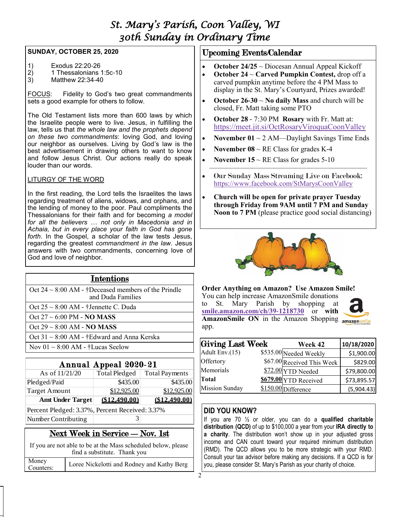# *St. Mary's Parish, Coon Valley, WI 30th Sunday in Ordinary Time*

#### **SUNDAY, OCTOBER 25, 2020**

- 1) Exodus 22:20-26<br>2) 1 Thessalonians
- 2) 1 Thessalonians 1:5c-10
- 3) Matthew 22:34-40

FOCUS: Fidelity to God's two great commandments sets a good example for others to follow.

The Old Testament lists more than 600 laws by which the Israelite people were to live. Jesus, in fulfilling the law, tells us that *the whole law and the prophets depend on these two commandments*: loving God, and loving our neighbor as ourselves. Living by God's law is the best advertisement in drawing others to want to know and follow Jesus Christ. Our actions really do speak louder than our words.

# LITURGY OF THE WORD

In the first reading, the Lord tells the Israelites the laws regarding treatment of aliens, widows, and orphans, and the lending of money to the poor. Paul compliments the Thessalonians for their faith and for becoming *a model for all the believers* … *not only in Macedonia and in Achaia, but in every place your faith in God has gone forth*. In the Gospel, a scholar of the law tests Jesus, regarding the greatest *commandment in the law*. Jesus answers with two commandments, concerning love of God and love of neighbor.

| <b>Intentions</b>                                                             |                |                                |  |  |  |  |
|-------------------------------------------------------------------------------|----------------|--------------------------------|--|--|--|--|
| Oct $24 \sim 8:00$ AM - †Deceased members of the Prindle<br>and Duda Families |                |                                |  |  |  |  |
| Oct $25 \sim 8:00$ AM - †Jennette C. Duda                                     |                |                                |  |  |  |  |
| $Oct$ 27 $\sim$ 6:00 PM - NO MASS                                             |                |                                |  |  |  |  |
| Oct $29 \sim 8:00$ AM - NO MASS                                               |                |                                |  |  |  |  |
| Oct $31 \sim 8:00$ AM - †Edward and Anna Kerska                               |                |                                |  |  |  |  |
| Nov $01 \sim 8:00$ AM - †Lucas Seelow                                         |                |                                |  |  |  |  |
|                                                                               |                |                                |  |  |  |  |
| Annual Appeal 2020-21                                                         |                |                                |  |  |  |  |
| As of $11/21/20$                                                              |                | Total Pledged   Total Payments |  |  |  |  |
| $D_{\text{bad}}$ and $D_{\text{bad}}$                                         | <b>¢425.00</b> | $\triangle$ 125 M              |  |  |  |  |

| Pledged/Paid                                    | \$435.00    | \$435.00      |  |  |  |  |  |
|-------------------------------------------------|-------------|---------------|--|--|--|--|--|
| Target Amount                                   | \$12,925.00 | \$12,925.00   |  |  |  |  |  |
| <b>Amt Under Target</b>                         | \$12,490.00 | (\$12.490.00) |  |  |  |  |  |
| Percent Pledged: 3.37%, Percent Received: 3.37% |             |               |  |  |  |  |  |

Number Contributing 3

# Next Week in Service — Nov. 1st

If you are not able to be at the Mass scheduled below, please find a substitute. Thank you Money Counters: Loree Nickelotti and Rodney and Kathy Berg

# Upcoming Events/Calendar

- **October 24/25** ~ Diocesan Annual Appeal Kickoff
- **October 24** ~ **Carved Pumpkin Contest,** drop off a carved pumpkin anytime before the 4 PM Mass to display in the St. Mary's Courtyard, Prizes awarded!
- **October 26-30** ~ **No daily Mass** and church will be closed, Fr. Matt taking some PTO
- **October 28**  7:30 PM **Rosary** with Fr. Matt at: <https://meet.jit.si/OctRosaryViroquaCoonValley>
- **November 01**  $\sim$  2 AM—Daylight Savings Time Ends
- **November 08** ~ RE Class for grades K-4
- **November 15** ~ RE Class for grades 5-10  $\overline{\phantom{a}}$  , and the contract of the contract of the contract of the contract of the contract of the contract of the contract of the contract of the contract of the contract of the contract of the contract of the contrac
- Our Sunday Mass Streaming Live on Facebook: <https://www.facebook.com/StMarysCoonValley>
- **Church will be open for private prayer Tuesday through Friday from 9AM until 7 PM and Sunday Noon to 7 PM** (please practice good social distancing)



# **Order Anything on Amazon? Use Amazon Smile!**

You can help increase AmazonSmile donations to St. Mary Parish by shopping at **[smile.amazon.com/ch/39-1218730](https://smile.amazon.com/gp/f.html?C=2G90H5KCIP85S&K=QCF9NBCEC5&M=urn:rtn:msg:202009161503507b868b2f6c4d472bb2aaf5b6e0c0p0na&R=1IFG7FBAC2Y5A&T=C&U=http%3A%2F%2FSMILE.AMAZON.COM%2Fch%2F39-1218730&H=TEOAGRQMCIY55KZ0NVAVQ9MTNACA)** or **with AmazonSmile ON** in the Amazon Shopping amazonsmile app.

| $\bigcup$ ci 91 $\approx$ 0.00 AINI - TEUWAIU AIIU AIIIIA KUISKA |                      |                         |                            |                        |             |
|------------------------------------------------------------------|----------------------|-------------------------|----------------------------|------------------------|-------------|
| Nov $01 \sim 8:00$ AM - †Lucas Seelow                            |                      | <b>Giving Last Week</b> | Week 42                    | 10/18/2020             |             |
|                                                                  |                      |                         | Adult Env.(15)             | \$535.00 Needed Weekly | \$1,900.00  |
| Annual Appeal 2020-21                                            |                      | Offertory               | \$67.00 Received This Week | \$829.00               |             |
| As of $11/21/20$                                                 | <b>Total Pledged</b> | <b>Total Payments</b>   | Memorials                  | $$72.00$ YTD Needed    | \$79,800.00 |
| Pledged/Paid                                                     | \$435.00             | \$435.00                | Total                      | $$679.00$ YTD Received | \$73,895.57 |
| Target Amount                                                    | \$12,925.00          | \$12,925.00             | <b>Mission Sunday</b>      | \$150.00 Difference    | (5,904.43)  |

# **DID YOU KNOW?**

If you are 70 ½ or older, you can do a **qualified charitable distribution (QCD)** of up to \$100,000 a year from your **IRA directly to a charity**. The distribution won't show up in your adjusted gross income and CAN count toward your required minimum distribution (RMD). The QCD allows you to be more strategic with your RMD. Consult your tax advisor before making any decisions. If a QCD is for you, please consider St. Mary's Parish as your charity of choice.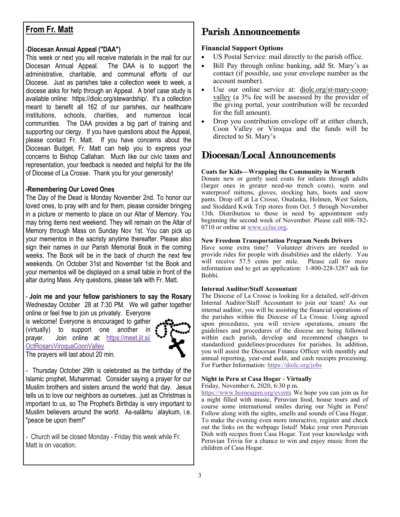# **From Fr. Matt**

## -**Diocesan Annual Appeal ("DAA")**

This week or next you will receive materials in the mail for our Diocesan Annual Appeal. The DAA is to support the administrative, charitable, and communal efforts of our Diocese. Just as parishes take a collection week to week, a diocese asks for help through an Appeal. A brief case study is available online: https://diolc.org/stewardship/. It's a collection meant to benefit all 162 of our parishes, our healthcare institutions, schools, charities, and numerous local communities. The DAA provides a big part of training and supporting our clergy. If you have questions about the Appeal, please contact Fr. Matt. If you have concerns about the Diocesan Budget, Fr. Matt can help you to express your concerns to Bishop Callahan. Much like our civic taxes and representation, your feedback is needed and helpful for the life of Diocese of La Crosse. Thank you for your generosity!

#### **-Remembering Our Loved Ones**

The Day of the Dead is Monday November 2nd. To honor our loved ones, to pray with and for them, please consider bringing in a picture or memento to place on our Altar of Memory. You may bring items next weekend. They will remain on the Altar of Memory through Mass on Sunday Nov 1st. You can pick up your mementos in the sacristy anytime thereafter. Please also sign their names in our Parish Memorial Book in the coming weeks. The Book will be in the back of church the next few weekends. On October 31st and November 1st the Book and your mementos will be displayed on a small table in front of the altar during Mass. Any questions, please talk with Fr. Matt.

- **Join me and your fellow parishioners to say the Rosary**  Wednesday October 28 at 7:30 PM. We will gather together

online or feel free to join us privately. Everyone is welcome! Everyone is encouraged to gather (virtually) to support one another in prayer. Join online at: [https://meet.jit.si/](https://meet.jit.si/OctRosaryViroquaCoonValley) [OctRosaryViroquaCoonValley](https://meet.jit.si/OctRosaryViroquaCoonValley) The prayers will last about 20 min.



- Thursday October 29th is celebrated as the birthday of the Islamic prophet, Muhammad. Consider saying a prayer for our Muslim brothers and sisters around the world that day. Jesus tells us to love our neighbors as ourselves...just as Christmas is important to us, so The Prophet's Birthday is very important to Muslim believers around the world. As-salāmu ʿalaykum, i.e. "peace be upon them!"

*-* Church will be closed Monday - Friday this week while Fr. Matt is on vacation.

# Parish Announcements

#### **Financial Support Options**

- US Postal Service: mail directly to the parish office.
- Bill Pay through online banking, add St. Mary's as contact (if possible, use your envelope number as the account number).
- Use our online service at: [diolc.org/st-mary-coon](http://www.diolc.org/st-mary-coon-valley)[valley](http://www.diolc.org/st-mary-coon-valley) (a 3% fee will be assessed by the provider of the giving portal, your contribution will be recorded for the full amount).
- Drop you contribution envelope off at either church, Coon Valley or Viroqua and the funds will be directed to St. Mary's

# Diocesan/Local Announcements

#### **Coats for Kids—Wrapping the Community in Warmth**

Donate new or gently used coats for infants through adults (larger ones in greater need-no trench coats), warm and waterproof mittens, gloves, stocking hats, boots and snow pants. Drop off at La Crosse, Onalaska, Holmen, West Salem, and Stoddard Kwik Trip stores from Oct. 5 through November 13th. Distribution to those in need by appointment only beginning the second week of November. Please call 608-782- 0710 or online at [www.cclse.org.](https://cclse.org/)

#### **New Freedom Transportation Program Needs Drivers**

Have some extra time? Volunteer drivers are needed to provide rides for people with disabilities and the elderly. You will receive 57.5 cents per mile. Please call for more information and to get an application: 1-800-228-3287 ask for Bobbi.

#### **Internal Auditor/Staff Accountant**

The Diocese of La Crosse is looking for a detailed, self-driven Internal Auditor/Staff Accountant to join our team! As our internal auditor, you will be assisting the financial operations of the parishes within the Diocese of La Crosse. Using agreed upon procedures, you will review operations, ensure the guidelines and procedures of the diocese are being followed within each parish, develop and recommend changes to standardized guidelines/procedures for parishes. In addition, you will assist the Diocesan Finance Officer with monthly and annual reporting, year-end audit, and cash receipts processing. For Further Information: <https://diolc.org/jobs>

# **Night in Peru at Casa Hogar - Virtually**

Friday, November 6, 2020, 6:30 p.m.

<https://www.homeajpm.org/events> We hope you can join us for a night filled with music, Peruvian food, house tours and of course some international smiles during our Night in Peru! Follow along with the sights, smells and sounds of Casa Hogar. To make the evening even more interactive, register and check out the links on the webpage listed! Make your own Peruvian Dish with recipes from Casa Hogar. Test your knowledge with Peruvian Trivia for a chance to win and enjoy music from the children of Casa Hogar.